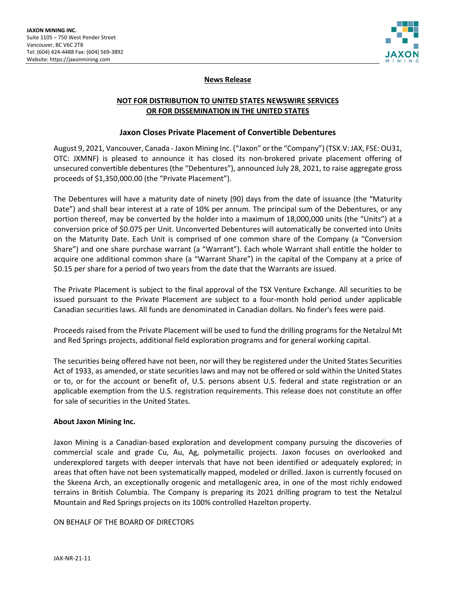

## **News Release**

# **NOT FOR DISTRIBUTION TO UNITED STATES NEWSWIRE SERVICES OR FOR DISSEMINATION IN THE UNITED STATES**

### **Jaxon Closes Private Placement of Convertible Debentures**

August 9, 2021, Vancouver, Canada - Jaxon Mining Inc. ("Jaxon" or the "Company") (TSX.V: JAX, FSE: OU31, OTC: JXMNF) is pleased to announce it has closed its non-brokered private placement offering of unsecured convertible debentures (the "Debentures"), announced July 28, 2021, to raise aggregate gross proceeds of \$1,350,000.00 (the "Private Placement").

The Debentures will have a maturity date of ninety (90) days from the date of issuance (the "Maturity Date") and shall bear interest at a rate of 10% per annum. The principal sum of the Debentures, or any portion thereof, may be converted by the holder into a maximum of 18,000,000 units (the "Units") at a conversion price of \$0.075 per Unit. Unconverted Debentures will automatically be converted into Units on the Maturity Date. Each Unit is comprised of one common share of the Company (a "Conversion Share") and one share purchase warrant (a "Warrant"). Each whole Warrant shall entitle the holder to acquire one additional common share (a "Warrant Share") in the capital of the Company at a price of \$0.15 per share for a period of two years from the date that the Warrants are issued.

The Private Placement is subject to the final approval of the TSX Venture Exchange. All securities to be issued pursuant to the Private Placement are subject to a four-month hold period under applicable Canadian securities laws. All funds are denominated in Canadian dollars. No finder's fees were paid.

Proceeds raised from the Private Placement will be used to fund the drilling programs for the Netalzul Mt and Red Springs projects, additional field exploration programs and for general working capital.

The securities being offered have not been, nor will they be registered under the United States Securities Act of 1933, as amended, or state securities laws and may not be offered or sold within the United States or to, or for the account or benefit of, U.S. persons absent U.S. federal and state registration or an applicable exemption from the U.S. registration requirements. This release does not constitute an offer for sale of securities in the United States.

#### **About Jaxon Mining Inc.**

Jaxon Mining is a Canadian-based exploration and development company pursuing the discoveries of commercial scale and grade Cu, Au, Ag, polymetallic projects. Jaxon focuses on overlooked and underexplored targets with deeper intervals that have not been identified or adequately explored; in areas that often have not been systematically mapped, modeled or drilled. Jaxon is currently focused on the Skeena Arch, an exceptionally orogenic and metallogenic area, in one of the most richly endowed terrains in British Columbia. The Company is preparing its 2021 drilling program to test the Netalzul Mountain and Red Springs projects on its 100% controlled Hazelton property.

#### ON BEHALF OF THE BOARD OF DIRECTORS